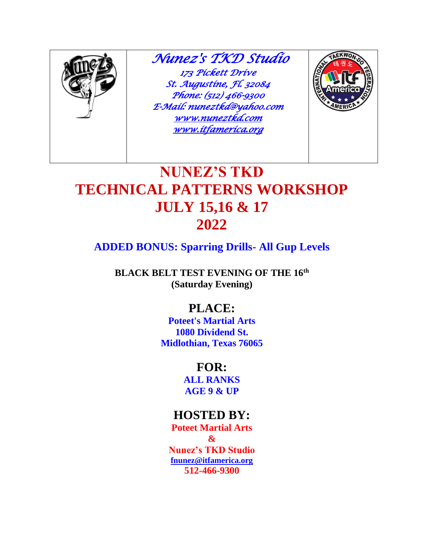

 *Nunez's TKD Studio 173 Pickett Drive St. Augustine, Fl. 32084 Phone: (512) 466-9300 E-Mail: nuneztkd@yahoo.com [www.nuneztkd.com](http://www.nuneztkd.com/)  [www.itfamerica.org](http://www.itfamerica.org/)* 



# **NUNEZ'S TKD TECHNICAL PATTERNS WORKSHOP JULY 15,16 & 17 2022**

## **ADDED BONUS: Sparring Drills- All Gup Levels**

**BLACK BELT TEST EVENING OF THE 16th (Saturday Evening)**

# **PLACE:**

**Poteet's Martial Arts 1080 Dividend St. Midlothian, Texas 76065**

## **FOR:**

**ALL RANKS AGE 9 & UP**

# **HOSTED BY:**

**Poteet Martial Arts & Nunez's TKD Studio [fnunez@itfamerica.org](mailto:fnunez@itfamerica.org) 512-466-9300**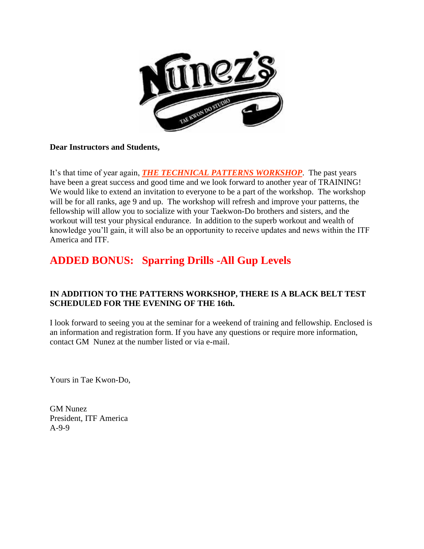

#### **Dear Instructors and Students,**

It's that time of year again, *THE TECHNICAL PATTERNS WORKSHOP*. The past years have been a great success and good time and we look forward to another year of TRAINING! We would like to extend an invitation to everyone to be a part of the workshop. The workshop will be for all ranks, age 9 and up. The workshop will refresh and improve your patterns, the fellowship will allow you to socialize with your Taekwon-Do brothers and sisters, and the workout will test your physical endurance. In addition to the superb workout and wealth of knowledge you'll gain, it will also be an opportunity to receive updates and news within the ITF America and ITF.

## **ADDED BONUS: Sparring Drills -All Gup Levels**

#### **IN ADDITION TO THE PATTERNS WORKSHOP, THERE IS A BLACK BELT TEST SCHEDULED FOR THE EVENING OF THE 16th.**

I look forward to seeing you at the seminar for a weekend of training and fellowship. Enclosed is an information and registration form. If you have any questions or require more information, contact GM Nunez at the number listed or via e-mail.

Yours in Tae Kwon-Do,

GM Nunez President, ITF America A-9-9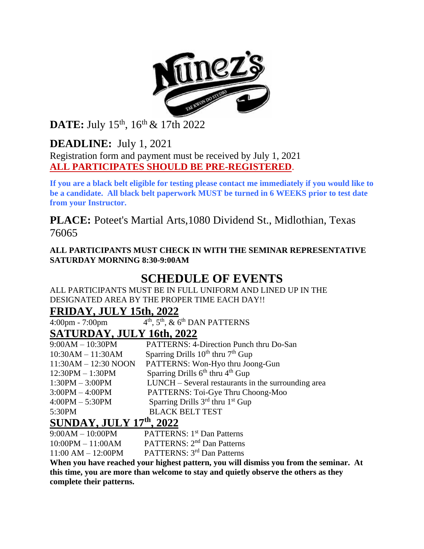

DATE: July 15<sup>th</sup>, 16<sup>th</sup> & 17th 2022

**DEADLINE:** July 1, 2021

Registration form and payment must be received by July 1, 2021 **ALL PARTICIPATES SHOULD BE PRE-REGISTERED**.

**If you are a black belt eligible for testing please contact me immediately if you would like to be a candidate. All black belt paperwork MUST be turned in 6 WEEKS prior to test date from your Instructor.**

**PLACE:** Poteet's Martial Arts,1080 Dividend St., Midlothian, Texas 76065

**ALL PARTICIPANTS MUST CHECK IN WITH THE SEMINAR REPRESENTATIVE SATURDAY MORNING 8:30-9:00AM**

## **SCHEDULE OF EVENTS**

ALL PARTICIPANTS MUST BE IN FULL UNIFORM AND LINED UP IN THE DESIGNATED AREA BY THE PROPER TIME EACH DAY!!

#### **FRIDAY, JULY 15th, 2022**

4:00pm - 7:00pm 4  $4<sup>th</sup>$ ,  $5<sup>th</sup>$ ,  $\&$  6<sup>th</sup> DAN PATTERNS

### **SATURDAY, JULY 16th, 2022**

| $9:00AM - 10:30PM$                                                                                                                                                                                                                                                                                                                                                          | <b>PATTERNS: 4-Direction Punch thru Do-San</b>           |  |  |
|-----------------------------------------------------------------------------------------------------------------------------------------------------------------------------------------------------------------------------------------------------------------------------------------------------------------------------------------------------------------------------|----------------------------------------------------------|--|--|
| $10:30AM - 11:30AM$                                                                                                                                                                                                                                                                                                                                                         | Sparring Drills $10^{th}$ thru $7^{th}$ Gup              |  |  |
| $11:30AM - 12:30 NOON$                                                                                                                                                                                                                                                                                                                                                      | PATTERNS: Won-Hyo thru Joong-Gun                         |  |  |
| $12:30PM - 1:30PM$                                                                                                                                                                                                                                                                                                                                                          | Sparring Drills $6th$ thru $4th$ Gup                     |  |  |
| $1:30PM - 3:00PM$                                                                                                                                                                                                                                                                                                                                                           | LUNCH – Several restaurants in the surrounding area      |  |  |
| $3:00PM - 4:00PM$                                                                                                                                                                                                                                                                                                                                                           | PATTERNS: Toi-Gye Thru Choong-Moo                        |  |  |
| $4:00PM - 5:30PM$                                                                                                                                                                                                                                                                                                                                                           | Sparring Drills 3 <sup>rd</sup> thru 1 <sup>st</sup> Gup |  |  |
| 5:30PM                                                                                                                                                                                                                                                                                                                                                                      | <b>BLACK BELT TEST</b>                                   |  |  |
| $G$ $\overline{G}$ $\overline{G}$ $\overline{G}$ $\overline{G}$ $\overline{G}$ $\overline{G}$ $\overline{G}$ $\overline{G}$ $\overline{G}$ $\overline{G}$ $\overline{G}$ $\overline{G}$ $\overline{G}$ $\overline{G}$ $\overline{G}$ $\overline{G}$ $\overline{G}$ $\overline{G}$ $\overline{G}$ $\overline{G}$ $\overline{G}$ $\overline{G}$ $\overline{G}$ $\overline{G}$ |                                                          |  |  |

#### **SUNDAY, JULY 17th, 2022**

9:00AM – 10:00PM PATTERNS: 1<sup>st</sup> Dan Patterns

10:00PM – 11:00AM PATTERNS: 2nd Dan Patterns

11:00 AM – 12:00PM PATTERNS: 3rd Dan Patterns

**When you have reached your highest pattern, you will dismiss you from the seminar. At this time, you are more than welcome to stay and quietly observe the others as they complete their patterns.**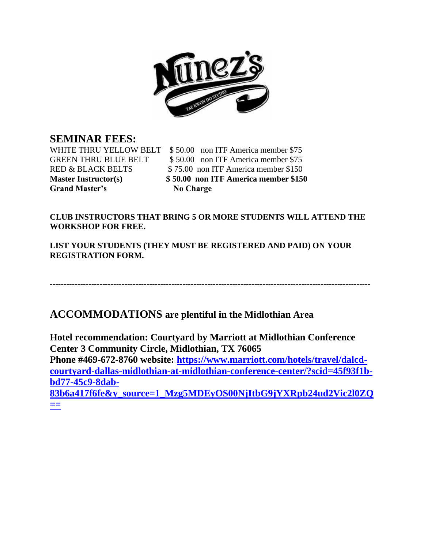

#### **SEMINAR FEES:**

Grand Master's No Charge

WHITE THRU YELLOW BELT \$50.00 non ITF America member \$75 GREEN THRU BLUE BELT \$50.00 non ITF America member \$75 RED & BLACK BELTS \$75.00 non ITF America member \$150 **Master Instructor(s) \$ 50.00 non ITF America member \$150**

#### **CLUB INSTRUCTORS THAT BRING 5 OR MORE STUDENTS WILL ATTEND THE WORKSHOP FOR FREE.**

**LIST YOUR STUDENTS (THEY MUST BE REGISTERED AND PAID) ON YOUR REGISTRATION FORM.** 

**--------------------------------------------------------------------------------------------------------------------**

#### **ACCOMMODATIONS are plentiful in the Midlothian Area**

**Hotel recommendation: Courtyard by Marriott at Midlothian Conference Center 3 Community Circle, Midlothian, TX 76065 Phone #469-672-8760 website: [https://www.marriott.com/hotels/travel/dalcd](https://www.marriott.com/hotels/travel/dalcd-courtyard-dallas-midlothian-at-midlothian-conference-center/?scid=45f93f1b-bd77-45c9-8dab-83b6a417f6fe&y_source=1_Mzg5MDEyOS00NjItbG9jYXRpb24ud2Vic2l0ZQ==)[courtyard-dallas-midlothian-at-midlothian-conference-center/?scid=45f93f1b](https://www.marriott.com/hotels/travel/dalcd-courtyard-dallas-midlothian-at-midlothian-conference-center/?scid=45f93f1b-bd77-45c9-8dab-83b6a417f6fe&y_source=1_Mzg5MDEyOS00NjItbG9jYXRpb24ud2Vic2l0ZQ==)[bd77-45c9-8dab-](https://www.marriott.com/hotels/travel/dalcd-courtyard-dallas-midlothian-at-midlothian-conference-center/?scid=45f93f1b-bd77-45c9-8dab-83b6a417f6fe&y_source=1_Mzg5MDEyOS00NjItbG9jYXRpb24ud2Vic2l0ZQ==)[83b6a417f6fe&y\\_source=1\\_Mzg5MDEyOS00NjItbG9jYXRpb24ud2Vic2l0ZQ](https://www.marriott.com/hotels/travel/dalcd-courtyard-dallas-midlothian-at-midlothian-conference-center/?scid=45f93f1b-bd77-45c9-8dab-83b6a417f6fe&y_source=1_Mzg5MDEyOS00NjItbG9jYXRpb24ud2Vic2l0ZQ==) [==](https://www.marriott.com/hotels/travel/dalcd-courtyard-dallas-midlothian-at-midlothian-conference-center/?scid=45f93f1b-bd77-45c9-8dab-83b6a417f6fe&y_source=1_Mzg5MDEyOS00NjItbG9jYXRpb24ud2Vic2l0ZQ==)**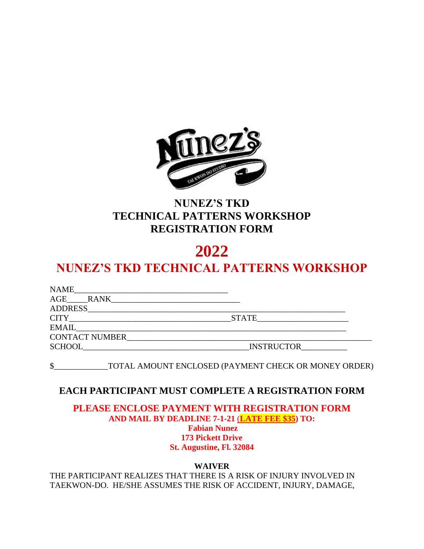

## **NUNEZ'S TKD TECHNICAL PATTERNS WORKSHOP REGISTRATION FORM**

# **2022**

# **NUNEZ'S TKD TECHNICAL PATTERNS WORKSHOP**

| <b>NAME</b>           |                   |  |
|-----------------------|-------------------|--|
| AGE RANK              |                   |  |
|                       |                   |  |
| <b>CITY</b>           | <b>STATE</b>      |  |
| <b>EMAIL</b>          |                   |  |
| <b>CONTACT NUMBER</b> |                   |  |
| <b>SCHOOL</b>         | <b>INSTRUCTOR</b> |  |

\$\_\_\_\_\_\_\_\_\_\_\_\_\_TOTAL AMOUNT ENCLOSED (PAYMENT CHECK OR MONEY ORDER)

#### **EACH PARTICIPANT MUST COMPLETE A REGISTRATION FORM**

**PLEASE ENCLOSE PAYMENT WITH REGISTRATION FORM AND MAIL BY DEADLINE 7-1-21** (**LATE FEE \$35) TO: Fabian Nunez 173 Pickett Drive St. Augustine, Fl. 32084**

**WAIVER**

THE PARTICIPANT REALIZES THAT THERE IS A RISK OF INJURY INVOLVED IN TAEKWON-DO. HE/SHE ASSUMES THE RISK OF ACCIDENT, INJURY, DAMAGE,